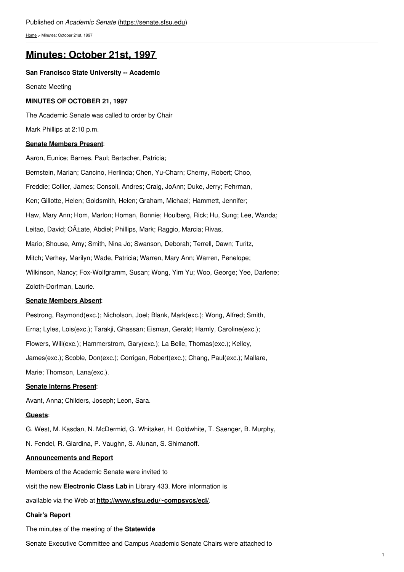[Home](https://senate.sfsu.edu/) > Minutes: October 21st, 1997

# **[Minutes:](https://senate.sfsu.edu/content/minute-m10-21-97) October 21st, 1997**

## **San Francisco State University -- Academic**

Senate Meeting

# **MINUTES OF OCTOBER 21, 1997**

The Academic Senate was called to order by Chair

Mark Phillips at 2:10 p.m.

## **Senate Members Present**:

Aaron, Eunice; Barnes, Paul; Bartscher, Patricia; Bernstein, Marian; Cancino, Herlinda; Chen, Yu-Charn; Cherny, Robert; Choo, Freddie; Collier, James; Consoli, Andres; Craig, JoAnn; Duke, Jerry; Fehrman, Ken; Gillotte, Helen; Goldsmith, Helen; Graham, Michael; Hammett, Jennifer; Haw, Mary Ann; Hom, Marlon; Homan, Bonnie; Houlberg, Rick; Hu, Sung; Lee, Wanda; Leitao, David; Oñate, Abdiel; Phillips, Mark; Raggio, Marcia; Rivas, Mario; Shouse, Amy; Smith, Nina Jo; Swanson, Deborah; Terrell, Dawn; Turitz, Mitch; Verhey, Marilyn; Wade, Patricia; Warren, Mary Ann; Warren, Penelope; Wilkinson, Nancy; Fox-Wolfgramm, Susan; Wong, Yim Yu; Woo, George; Yee, Darlene; Zoloth-Dorfman, Laurie.

#### **Senate Members Absent**:

Pestrong, Raymond(exc.); Nicholson, Joel; Blank, Mark(exc.); Wong, Alfred; Smith, Erna; Lyles, Lois(exc.); Tarakji, Ghassan; Eisman, Gerald; Harnly, Caroline(exc.); Flowers, Will(exc.); Hammerstrom, Gary(exc.); La Belle, Thomas(exc.); Kelley, James(exc.); Scoble, Don(exc.); Corrigan, Robert(exc.); Chang, Paul(exc.); Mallare, Marie; Thomson, Lana(exc.).

## **Senate Interns Present**:

Avant, Anna; Childers, Joseph; Leon, Sara.

#### **Guests**:

G. West, M. Kasdan, N. McDermid, G. Whitaker, H. Goldwhite, T. Saenger, B. Murphy,

N. Fendel, R. Giardina, P. Vaughn, S. Alunan, S. Shimanoff.

# **Announcements and Report**

Members of the Academic Senate were invited to

visit the new **Electronic Class Lab** in Library 433. More information is

available via the Web at **<http://www.sfsu.edu/~compsvcs/ecl/>**.

# **Chair's Report**

The minutes of the meeting of the **Statewide**

Senate Executive Committee and Campus Academic Senate Chairs were attached to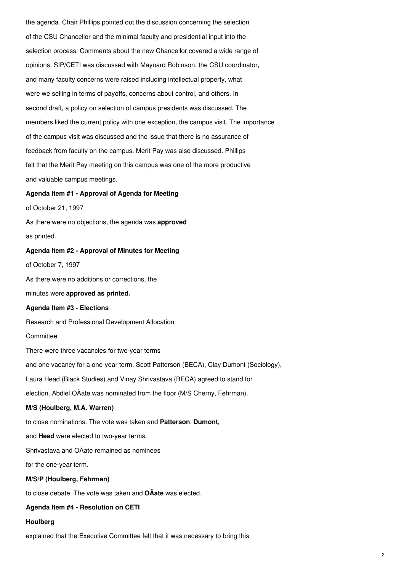the agenda. Chair Phillips pointed out the discussion concerning the selection of the CSU Chancellor and the minimal faculty and presidential input into the selection process. Comments about the new Chancellor covered a wide range of opinions. SIP/CETI was discussed with Maynard Robinson, the CSU coordinator, and many faculty concerns were raised including intellectual property, what were we selling in terms of payoffs, concerns about control, and others. In second draft, a policy on selection of campus presidents was discussed. The members liked the current policy with one exception, the campus visit. The importance of the campus visit was discussed and the issue that there is no assurance of feedback from faculty on the campus. Merit Pay was also discussed. Phillips felt that the Merit Pay meeting on this campus was one of the more productive and valuable campus meetings.

## **Agenda Item #1 - Approval of Agenda for Meeting**

of October 21, 1997

As there were no objections, the agenda was **approved** as printed.

## **Agenda Item #2 - Approval of Minutes for Meeting**

of October 7, 1997

As there were no additions or corrections, the

minutes were **approved as printed.**

## **Agenda Item #3 - Elections**

Research and Professional Development Allocation

#### **Committee**

There were three vacancies for two-year terms

and one vacancy for a one-year term. Scott Patterson (BECA), Clay Dumont (Sociology),

Laura Head (Black Studies) and Vinay Shrivastava (BECA) agreed to stand for

election. Abdiel OÃate was nominated from the floor (M/S Cherny, Fehrman).

# **M/S (Houlberg, M.A. Warren)**

to close nominations. The vote was taken and **Patterson**, **Dumont**,

and **Head** were elected to two-year terms.

Shrivastava and OÃate remained as nominees

for the one-year term.

# **M/S/P (Houlberg, Fehrman)**

to close debate. The vote was taken and **OÃate** was elected.

#### **Agenda Item #4 - Resolution on CETI**

## **Houlberg**

explained that the Executive Committee felt that it was necessary to bring this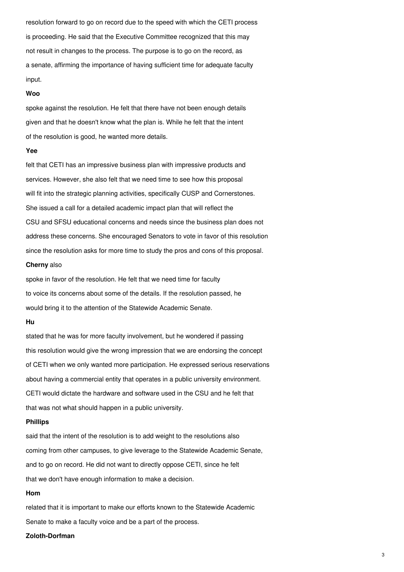resolution forward to go on record due to the speed with which the CETI process is proceeding. He said that the Executive Committee recognized that this may not result in changes to the process. The purpose is to go on the record, as a senate, affirming the importance of having sufficient time for adequate faculty input.

#### **Woo**

spoke against the resolution. He felt that there have not been enough details given and that he doesn't know what the plan is. While he felt that the intent of the resolution is good, he wanted more details.

#### **Yee**

felt that CETI has an impressive business plan with impressive products and services. However, she also felt that we need time to see how this proposal will fit into the strategic planning activities, specifically CUSP and Cornerstones. She issued a call for a detailed academic impact plan that will reflect the CSU and SFSU educational concerns and needs since the business plan does not address these concerns. She encouraged Senators to vote in favor of this resolution since the resolution asks for more time to study the pros and cons of this proposal.

# **Cherny** also

spoke in favor of the resolution. He felt that we need time for faculty to voice its concerns about some of the details. If the resolution passed, he would bring it to the attention of the Statewide Academic Senate.

#### **Hu**

stated that he was for more faculty involvement, but he wondered if passing this resolution would give the wrong impression that we are endorsing the concept of CETI when we only wanted more participation. He expressed serious reservations about having a commercial entity that operates in a public university environment. CETI would dictate the hardware and software used in the CSU and he felt that that was not what should happen in a public university.

# **Phillips**

said that the intent of the resolution is to add weight to the resolutions also coming from other campuses, to give leverage to the Statewide Academic Senate, and to go on record. He did not want to directly oppose CETI, since he felt that we don't have enough information to make a decision.

# **Hom**

related that it is important to make our efforts known to the Statewide Academic Senate to make a faculty voice and be a part of the process.

# **Zoloth-Dorfman**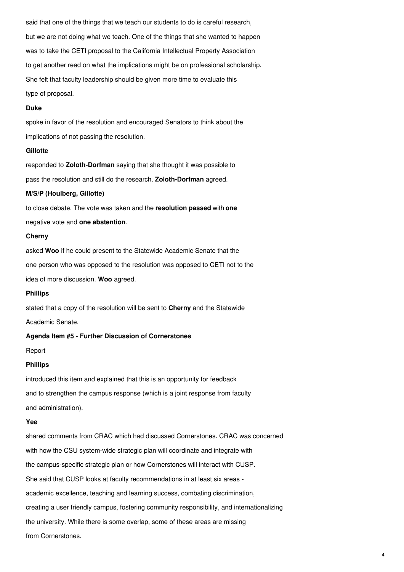said that one of the things that we teach our students to do is careful research, but we are not doing what we teach. One of the things that she wanted to happen was to take the CETI proposal to the California Intellectual Property Association to get another read on what the implications might be on professional scholarship. She felt that faculty leadership should be given more time to evaluate this type of proposal.

#### **Duke**

spoke in favor of the resolution and encouraged Senators to think about the implications of not passing the resolution.

#### **Gillotte**

responded to **Zoloth-Dorfman** saying that she thought it was possible to pass the resolution and still do the research. **Zoloth-Dorfman** agreed.

#### **M/S/P (Houlberg, Gillotte)**

to close debate. The vote was taken and the **resolution passed** with **one** negative vote and **one abstention**.

## **Cherny**

asked **Woo** if he could present to the Statewide Academic Senate that the one person who was opposed to the resolution was opposed to CETI not to the idea of more discussion. **Woo** agreed.

## **Phillips**

stated that a copy of the resolution will be sent to **Cherny** and the Statewide

Academic Senate.

# **Agenda Item #5 - Further Discussion of Cornerstones**

Report

#### **Phillips**

introduced this item and explained that this is an opportunity for feedback and to strengthen the campus response (which is a joint response from faculty and administration).

## **Yee**

shared comments from CRAC which had discussed Cornerstones. CRAC was concerned with how the CSU system-wide strategic plan will coordinate and integrate with the campus-specific strategic plan or how Cornerstones will interact with CUSP. She said that CUSP looks at faculty recommendations in at least six areas academic excellence, teaching and learning success, combating discrimination, creating a user friendly campus, fostering community responsibility, and internationalizing the university. While there is some overlap, some of these areas are missing from Cornerstones.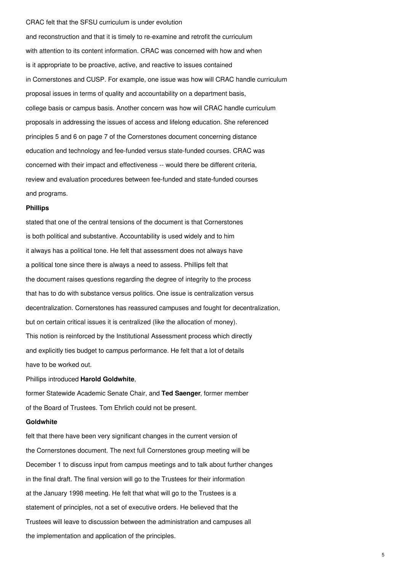#### CRAC felt that the SFSU curriculum is under evolution

and reconstruction and that it is timely to re-examine and retrofit the curriculum with attention to its content information. CRAC was concerned with how and when is it appropriate to be proactive, active, and reactive to issues contained in Cornerstones and CUSP. For example, one issue was how will CRAC handle curriculum proposal issues in terms of quality and accountability on a department basis, college basis or campus basis. Another concern was how will CRAC handle curriculum proposals in addressing the issues of access and lifelong education. She referenced principles 5 and 6 on page 7 of the Cornerstones document concerning distance education and technology and fee-funded versus state-funded courses. CRAC was concerned with their impact and effectiveness -- would there be different criteria, review and evaluation procedures between fee-funded and state-funded courses and programs.

#### **Phillips**

stated that one of the central tensions of the document is that Cornerstones is both political and substantive. Accountability is used widely and to him it always has a political tone. He felt that assessment does not always have a political tone since there is always a need to assess. Phillips felt that the document raises questions regarding the degree of integrity to the process that has to do with substance versus politics. One issue is centralization versus decentralization. Cornerstones has reassured campuses and fought for decentralization, but on certain critical issues it is centralized (like the allocation of money). This notion is reinforced by the Institutional Assessment process which directly and explicitly ties budget to campus performance. He felt that a lot of details have to be worked out.

Phillips introduced **Harold Goldwhite**,

former Statewide Academic Senate Chair, and **Ted Saenger**, former member of the Board of Trustees. Tom Ehrlich could not be present.

# **Goldwhite**

felt that there have been very significant changes in the current version of the Cornerstones document. The next full Cornerstones group meeting will be December 1 to discuss input from campus meetings and to talk about further changes in the final draft. The final version will go to the Trustees for their information at the January 1998 meeting. He felt that what will go to the Trustees is a statement of principles, not a set of executive orders. He believed that the Trustees will leave to discussion between the administration and campuses all the implementation and application of the principles.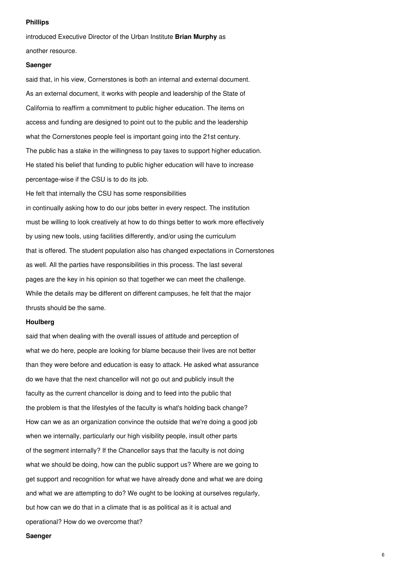#### **Phillips**

introduced Executive Director of the Urban Institute **Brian Murphy** as another resource.

#### **Saenger**

said that, in his view, Cornerstones is both an internal and external document. As an external document, it works with people and leadership of the State of California to reaffirm a commitment to public higher education. The items on access and funding are designed to point out to the public and the leadership what the Cornerstones people feel is important going into the 21st century. The public has a stake in the willingness to pay taxes to support higher education. He stated his belief that funding to public higher education will have to increase percentage-wise if the CSU is to do its job. He felt that internally the CSU has some responsibilities in continually asking how to do our jobs better in every respect. The institution must be willing to look creatively at how to do things better to work more effectively by using new tools, using facilities differently, and/or using the curriculum

that is offered. The student population also has changed expectations in Cornerstones as well. All the parties have responsibilities in this process. The last several pages are the key in his opinion so that together we can meet the challenge. While the details may be different on different campuses, he felt that the major thrusts should be the same.

# **Houlberg**

said that when dealing with the overall issues of attitude and perception of what we do here, people are looking for blame because their lives are not better than they were before and education is easy to attack. He asked what assurance do we have that the next chancellor will not go out and publicly insult the faculty as the current chancellor is doing and to feed into the public that the problem is that the lifestyles of the faculty is what's holding back change? How can we as an organization convince the outside that we're doing a good job when we internally, particularly our high visibility people, insult other parts of the segment internally? If the Chancellor says that the faculty is not doing what we should be doing, how can the public support us? Where are we going to get support and recognition for what we have already done and what we are doing and what we are attempting to do? We ought to be looking at ourselves regularly, but how can we do that in a climate that is as political as it is actual and operational? How do we overcome that?

## **Saenger**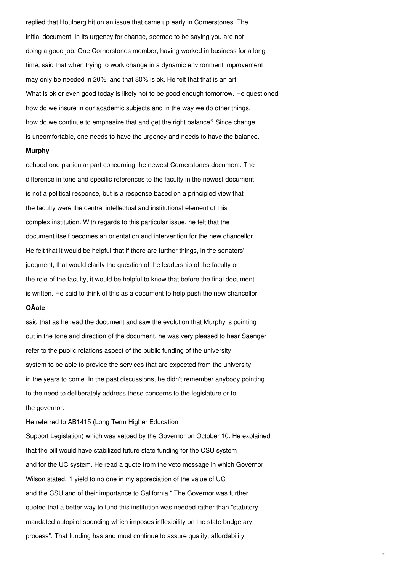replied that Houlberg hit on an issue that came up early in Cornerstones. The initial document, in its urgency for change, seemed to be saying you are not doing a good job. One Cornerstones member, having worked in business for a long time, said that when trying to work change in a dynamic environment improvement may only be needed in 20%, and that 80% is ok. He felt that that is an art. What is ok or even good today is likely not to be good enough tomorrow. He questioned how do we insure in our academic subjects and in the way we do other things, how do we continue to emphasize that and get the right balance? Since change is uncomfortable, one needs to have the urgency and needs to have the balance.

#### **Murphy**

echoed one particular part concerning the newest Cornerstones document. The difference in tone and specific references to the faculty in the newest document is not a political response, but is a response based on a principled view that the faculty were the central intellectual and institutional element of this complex institution. With regards to this particular issue, he felt that the document itself becomes an orientation and intervention for the new chancellor. He felt that it would be helpful that if there are further things, in the senators' judgment, that would clarify the question of the leadership of the faculty or the role of the faculty, it would be helpful to know that before the final document is written. He said to think of this as a document to help push the new chancellor.

# **OÃate**

said that as he read the document and saw the evolution that Murphy is pointing out in the tone and direction of the document, he was very pleased to hear Saenger refer to the public relations aspect of the public funding of the university system to be able to provide the services that are expected from the university in the years to come. In the past discussions, he didn't remember anybody pointing to the need to deliberately address these concerns to the legislature or to the governor.

He referred to AB1415 (Long Term Higher Education Support Legislation) which was vetoed by the Governor on October 10. He explained that the bill would have stabilized future state funding for the CSU system and for the UC system. He read a quote from the veto message in which Governor Wilson stated, "I yield to no one in my appreciation of the value of UC and the CSU and of their importance to California." The Governor was further quoted that a better way to fund this institution was needed rather than "statutory mandated autopilot spending which imposes inflexibility on the state budgetary process". That funding has and must continue to assure quality, affordability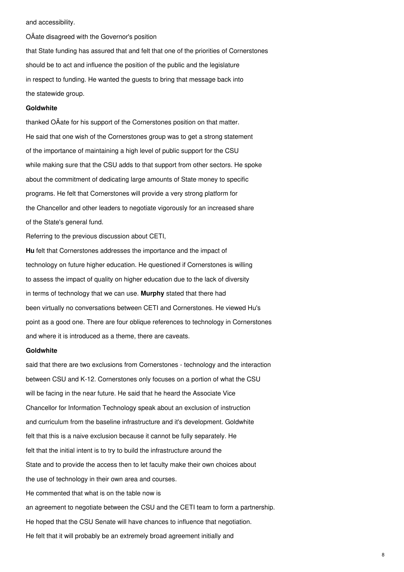and accessibility.

OÃate disagreed with the Governor's position that State funding has assured that and felt that one of the priorities of Cornerstones should be to act and influence the position of the public and the legislature in respect to funding. He wanted the guests to bring that message back into the statewide group.

# **Goldwhite**

thanked OÃate for his support of the Cornerstones position on that matter. He said that one wish of the Cornerstones group was to get a strong statement of the importance of maintaining a high level of public support for the CSU while making sure that the CSU adds to that support from other sectors. He spoke about the commitment of dedicating large amounts of State money to specific programs. He felt that Cornerstones will provide a very strong platform for the Chancellor and other leaders to negotiate vigorously for an increased share of the State's general fund.

Referring to the previous discussion about CETI,

**Hu** felt that Cornerstones addresses the importance and the impact of technology on future higher education. He questioned if Cornerstones is willing to assess the impact of quality on higher education due to the lack of diversity in terms of technology that we can use. **Murphy** stated that there had been virtually no conversations between CETI and Cornerstones. He viewed Hu's point as a good one. There are four oblique references to technology in Cornerstones and where it is introduced as a theme, there are caveats.

#### **Goldwhite**

said that there are two exclusions from Cornerstones - technology and the interaction between CSU and K-12. Cornerstones only focuses on a portion of what the CSU will be facing in the near future. He said that he heard the Associate Vice Chancellor for Information Technology speak about an exclusion of instruction and curriculum from the baseline infrastructure and it's development. Goldwhite felt that this is a naive exclusion because it cannot be fully separately. He felt that the initial intent is to try to build the infrastructure around the State and to provide the access then to let faculty make their own choices about the use of technology in their own area and courses. He commented that what is on the table now is an agreement to negotiate between the CSU and the CETI team to form a partnership. He hoped that the CSU Senate will have chances to influence that negotiation. He felt that it will probably be an extremely broad agreement initially and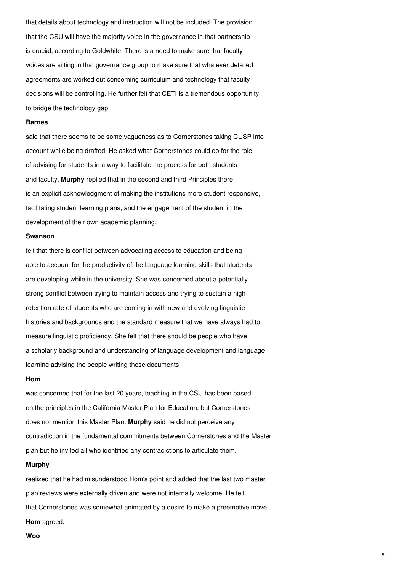that details about technology and instruction will not be included. The provision that the CSU will have the majority voice in the governance in that partnership is crucial, according to Goldwhite. There is a need to make sure that faculty voices are sitting in that governance group to make sure that whatever detailed agreements are worked out concerning curriculum and technology that faculty decisions will be controlling. He further felt that CETI is a tremendous opportunity to bridge the technology gap.

## **Barnes**

said that there seems to be some vagueness as to Cornerstones taking CUSP into account while being drafted. He asked what Cornerstones could do for the role of advising for students in a way to facilitate the process for both students and faculty. **Murphy** replied that in the second and third Principles there is an explicit acknowledgment of making the institutions more student responsive, facilitating student learning plans, and the engagement of the student in the development of their own academic planning.

#### **Swanson**

felt that there is conflict between advocating access to education and being able to account for the productivity of the language learning skills that students are developing while in the university. She was concerned about a potentially strong conflict between trying to maintain access and trying to sustain a high retention rate of students who are coming in with new and evolving linguistic histories and backgrounds and the standard measure that we have always had to measure linguistic proficiency. She felt that there should be people who have a scholarly background and understanding of language development and language learning advising the people writing these documents.

#### **Hom**

was concerned that for the last 20 years, teaching in the CSU has been based on the principles in the California Master Plan for Education, but Cornerstones does not mention this Master Plan. **Murphy** said he did not perceive any contradiction in the fundamental commitments between Cornerstones and the Master plan but he invited all who identified any contradictions to articulate them.

#### **Murphy**

realized that he had misunderstood Hom's point and added that the last two master plan reviews were externally driven and were not internally welcome. He felt that Cornerstones was somewhat animated by a desire to make a preemptive move. **Hom** agreed.

**Woo**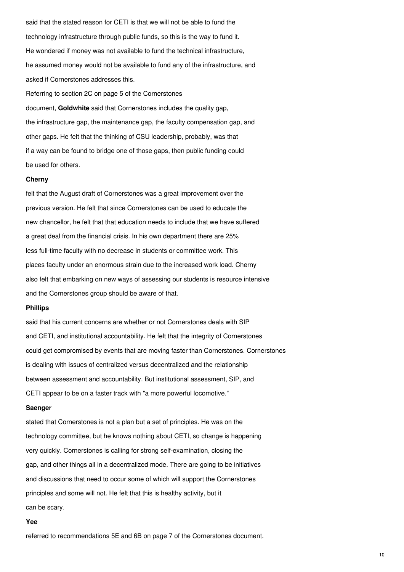said that the stated reason for CETI is that we will not be able to fund the technology infrastructure through public funds, so this is the way to fund it. He wondered if money was not available to fund the technical infrastructure, he assumed money would not be available to fund any of the infrastructure, and asked if Cornerstones addresses this.

Referring to section 2C on page 5 of the Cornerstones

document, **Goldwhite** said that Cornerstones includes the quality gap, the infrastructure gap, the maintenance gap, the faculty compensation gap, and other gaps. He felt that the thinking of CSU leadership, probably, was that if a way can be found to bridge one of those gaps, then public funding could be used for others.

#### **Cherny**

felt that the August draft of Cornerstones was a great improvement over the previous version. He felt that since Cornerstones can be used to educate the new chancellor, he felt that that education needs to include that we have suffered a great deal from the financial crisis. In his own department there are 25% less full-time faculty with no decrease in students or committee work. This places faculty under an enormous strain due to the increased work load. Cherny also felt that embarking on new ways of assessing our students is resource intensive and the Cornerstones group should be aware of that.

# **Phillips**

said that his current concerns are whether or not Cornerstones deals with SIP and CETI, and institutional accountability. He felt that the integrity of Cornerstones could get compromised by events that are moving faster than Cornerstones. Cornerstones is dealing with issues of centralized versus decentralized and the relationship between assessment and accountability. But institutional assessment, SIP, and CETI appear to be on a faster track with "a more powerful locomotive."

#### **Saenger**

stated that Cornerstones is not a plan but a set of principles. He was on the technology committee, but he knows nothing about CETI, so change is happening very quickly. Cornerstones is calling for strong self-examination, closing the gap, and other things all in a decentralized mode. There are going to be initiatives and discussions that need to occur some of which will support the Cornerstones principles and some will not. He felt that this is healthy activity, but it can be scary.

#### **Yee**

referred to recommendations 5E and 6B on page 7 of the Cornerstones document.